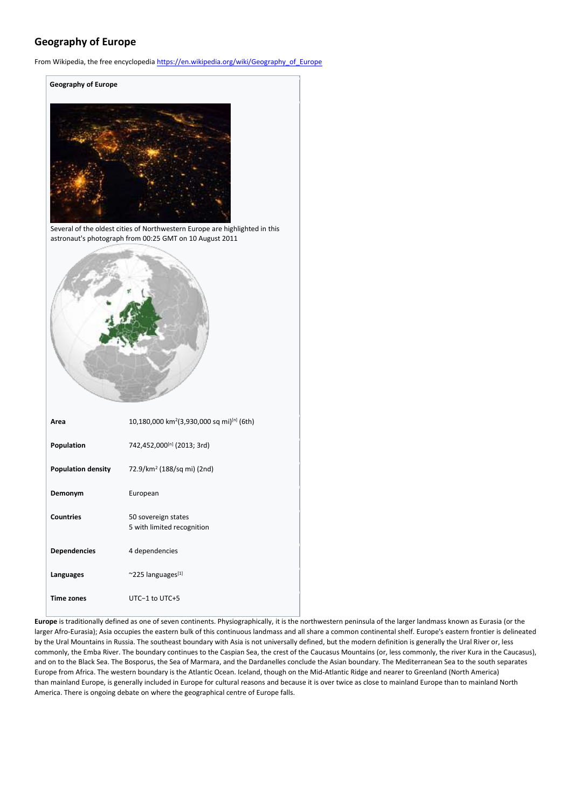# **Geography of Europe**

From Wikipedia, the free encyclopedia [https://en.wikipedia.org/wiki/Geography\\_of\\_Europe](https://en.wikipedia.org/wiki/Geography_of_Europe)



Several of the oldest cities of Northwestern Europe are highlighted in this astronaut's photograph from 00:25 GMT on 10 August 2011



| Area                      | 10,180,000 km <sup>2</sup> (3,930,000 sq mi) <sup>[n]</sup> (6th) |
|---------------------------|-------------------------------------------------------------------|
| Population                | 742,452,000[n] (2013; 3rd)                                        |
| <b>Population density</b> | 72.9/km <sup>2</sup> (188/sq mi) (2nd)                            |
| Demonym                   | European                                                          |
| <b>Countries</b>          | 50 sovereign states<br>5 with limited recognition                 |
| <b>Dependencies</b>       | 4 dependencies                                                    |
| Languages                 | $~^{\sim}$ 225 languages <sup>[1]</sup>                           |
| Time zones                | $UTC-1$ to $UTC+5$                                                |

**Europe** is traditionally defined as one of seven continents. Physiographically, it is the northwestern peninsula of the larger landmass known as Eurasia (or the larger Afro-Eurasia); Asia occupies the eastern bulk of this continuous landmass and all share a common continental shelf. Europe's eastern frontier is delineated by the Ural Mountains in Russia. The southeast boundary with Asia is not universally defined, but the modern definition is generally the Ural River or, less commonly, the Emba River. The boundary continues to the Caspian Sea, the crest of the Caucasus Mountains (or, less commonly, the river Kura in the Caucasus), and on to the Black Sea. The Bosporus, the Sea of Marmara, and the Dardanelles conclude the Asian boundary. The Mediterranean Sea to the south separates Europe from Africa. The western boundary is the Atlantic Ocean. Iceland, though on the Mid-Atlantic Ridge and nearer to Greenland (North America) than mainland Europe, is generally included in Europe for cultural reasons and because it is over twice as close to mainland Europe than to mainland North America. There is ongoing debate on where the geographical centre of Europe falls.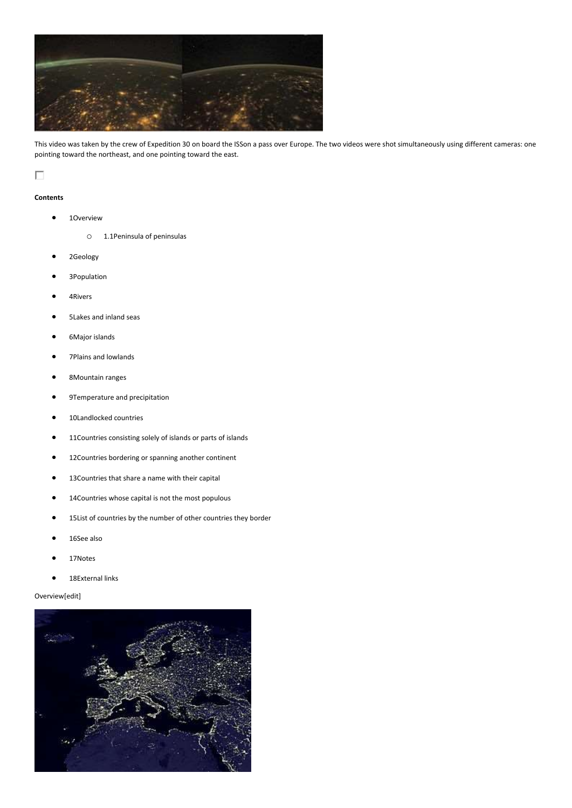

This video was taken by the crew of Expedition 30 on board the ISSon a pass over Europe. The two videos were shot simultaneously using different cameras: one pointing toward the northeast, and one pointing toward the east.

# П

## **Contents**

- 1Overview
	- o 1.1Peninsula of peninsulas
- 2Geology
- 3Population
- 4Rivers
- 5Lakes and inland seas
- 6Major islands
- 7Plains and lowlands
- 8Mountain ranges
- 9Temperature and precipitation
- 10Landlocked countries
- 11Countries consisting solely of islands or parts of islands
- 12Countries bordering or spanning another continent
- 13Countries that share a name with their capital
- 14Countries whose capital is not the most populous
- 15List of countries by the number of other countries they border
- 16See also
- 17Notes
- 18External links

## Overview[edit]

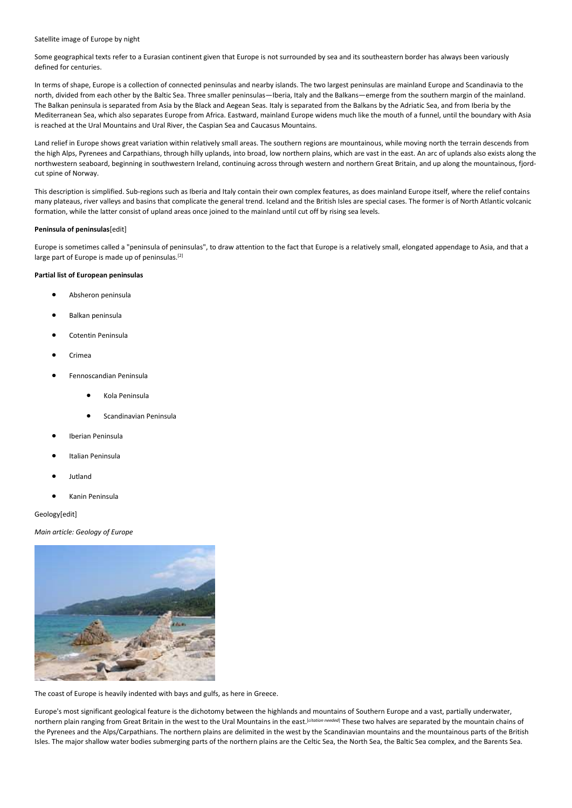#### Satellite image of Europe by night

Some geographical texts refer to a Eurasian continent given that Europe is not surrounded by sea and its southeastern border has always been variously defined for centuries.

In terms of shape, Europe is a collection of connected peninsulas and nearby islands. The two largest peninsulas are mainland Europe and Scandinavia to the north, divided from each other by the Baltic Sea. Three smaller peninsulas—Iberia, Italy and the Balkans—emerge from the southern margin of the mainland. The Balkan peninsula is separated from Asia by the Black and Aegean Seas. Italy is separated from the Balkans by the Adriatic Sea, and from Iberia by the Mediterranean Sea, which also separates Europe from Africa. Eastward, mainland Europe widens much like the mouth of a funnel, until the boundary with Asia is reached at the Ural Mountains and Ural River, the Caspian Sea and Caucasus Mountains.

Land relief in Europe shows great variation within relatively small areas. The southern regions are mountainous, while moving north the terrain descends from the high Alps, Pyrenees and Carpathians, through hilly uplands, into broad, low northern plains, which are vast in the east. An arc of uplands also exists along the northwestern seaboard, beginning in southwestern Ireland, continuing across through western and northern Great Britain, and up along the mountainous, fjordcut spine of Norway.

This description is simplified. Sub-regions such as Iberia and Italy contain their own complex features, as does mainland Europe itself, where the relief contains many plateaus, river valleys and basins that complicate the general trend. Iceland and the British Isles are special cases. The former is of North Atlantic volcanic formation, while the latter consist of upland areas once joined to the mainland until cut off by rising sea levels.

#### **Peninsula of peninsulas**[edit]

Europe is sometimes called a "peninsula of peninsulas", to draw attention to the fact that Europe is a relatively small, elongated appendage to Asia, and that a large part of Europe is made up of peninsulas.<sup>[2]</sup>

## **Partial list of European peninsulas**

- Absheron peninsula
- Balkan peninsula
- Cotentin Peninsula
- Crimea
- Fennoscandian Peninsula
	- Kola Peninsula
	- Scandinavian Peninsula
- Iberian Peninsula
- Italian Peninsula
- Jutland
- Kanin Peninsula

Geology[edit]

*Main article: Geology of Europe*



The coast of Europe is heavily indented with bays and gulfs, as here in Greece.

Europe's most significant geological feature is the dichotomy between the highlands and mountains of Southern Europe and a vast, partially underwater, northern plain ranging from Great Britain in the west to the Ural Mountains in the east.[*citation needed*] These two halves are separated by the mountain chains of the Pyrenees and the Alps/Carpathians. The northern plains are delimited in the west by the Scandinavian mountains and the mountainous parts of the British Isles. The major shallow water bodies submerging parts of the northern plains are the Celtic Sea, the North Sea, the Baltic Sea complex, and the Barents Sea.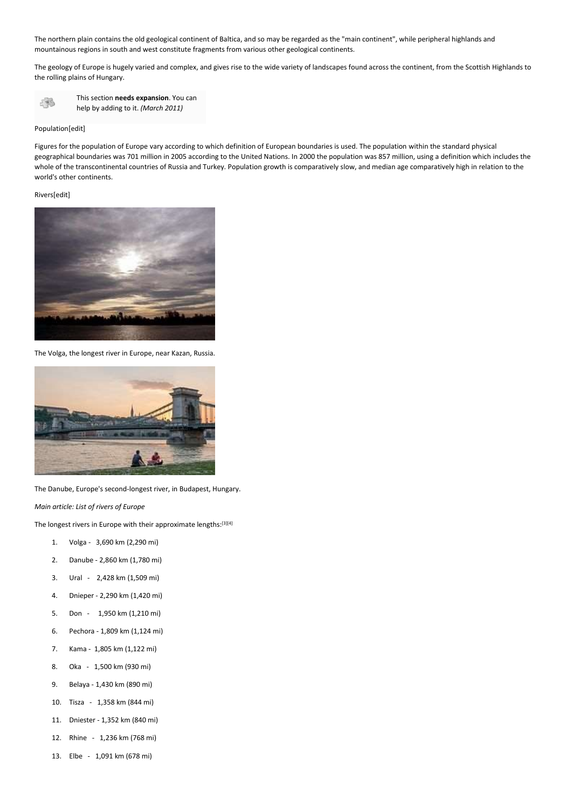The northern plain contains the old geological continent of Baltica, and so may be regarded as the "main continent", while peripheral highlands and mountainous regions in south and west constitute fragments from various other geological continents.

The geology of Europe is hugely varied and complex, and gives rise to the wide variety of landscapes found across the continent, from the Scottish Highlands to the rolling plains of Hungary.



## Population[edit]

Figures for the population of Europe vary according to which definition of European boundaries is used. The population within the standard physical geographical boundaries was 701 million in 2005 according to the United Nations. In 2000 the population was 857 million, using a definition which includes the whole of the transcontinental countries of Russia and Turkey. Population growth is comparatively slow, and median age comparatively high in relation to the world's other continents.

Rivers[edit]



The Volga, the longest river in Europe, near Kazan, Russia.



The Danube, Europe's second-longest river, in Budapest, Hungary.

*Main article: List of rivers of Europe*

The longest rivers in Europe with their approximate lengths: [3][4]

- 1. Volga 3,690 km (2,290 mi)
- 2. Danube 2,860 km (1,780 mi)
- 3. Ural 2,428 km (1,509 mi)
- 4. Dnieper 2,290 km (1,420 mi)
- 5. Don 1,950 km (1,210 mi)
- 6. Pechora 1,809 km (1,124 mi)
- 7. Kama 1,805 km (1,122 mi)
- 8. Oka 1,500 km (930 mi)
- 9. Belaya 1,430 km (890 mi)
- 10. Tisza 1,358 km (844 mi)
- 11. Dniester 1,352 km (840 mi)
- 12. Rhine 1,236 km (768 mi)
- 13. Elbe 1,091 km (678 mi)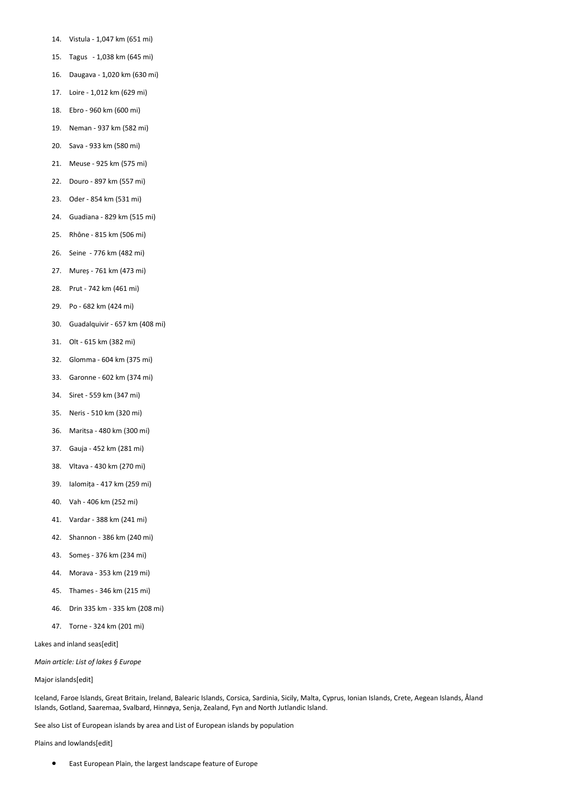- 14. Vistula 1,047 km (651 mi)
- 15. Tagus 1,038 km (645 mi)
- 16. Daugava 1,020 km (630 mi)
- 17. Loire 1,012 km (629 mi)
- 18. Ebro 960 km (600 mi)
- 19. Neman 937 km (582 mi)
- 20. Sava 933 km (580 mi)
- 21. Meuse 925 km (575 mi)
- 22. Douro 897 km (557 mi)
- 23. Oder 854 km (531 mi)
- 24. Guadiana 829 km (515 mi)
- 25. Rhône 815 km (506 mi)
- 26. Seine 776 km (482 mi)
- 27. Mureș 761 km (473 mi)
- 28. Prut 742 km (461 mi)
- 29. Po 682 km (424 mi)
- 30. Guadalquivir 657 km (408 mi)
- 31. Olt 615 km (382 mi)
- 32. Glomma 604 km (375 mi)
- 33. Garonne 602 km (374 mi)
- 34. Siret 559 km (347 mi)
- 35. Neris 510 km (320 mi)
- 36. Maritsa 480 km (300 mi)
- 37. Gauja 452 km (281 mi)
- 38. Vltava 430 km (270 mi)
- 39. Ialomița 417 km (259 mi)
- 40. Vah 406 km (252 mi)
- 41. Vardar 388 km (241 mi)
- 42. Shannon 386 km (240 mi)
- 43. Someș 376 km (234 mi)
- 44. Morava 353 km (219 mi)
- 45. Thames 346 km (215 mi)
- 46. Drin 335 km 335 km (208 mi)
- 47. Torne 324 km (201 mi)

Lakes and inland seas[edit]

*Main article: List of lakes § Europe*

## Major islands[edit]

Iceland, Faroe Islands, Great Britain, Ireland, Balearic Islands, Corsica, Sardinia, Sicily, Malta, Cyprus, Ionian Islands, Crete, Aegean Islands, Åland Islands, Gotland, Saaremaa, Svalbard, Hinnøya, Senja, Zealand, Fyn and North Jutlandic Island.

See also List of European islands by area and List of European islands by population

Plains and lowlands[edit]

• East European Plain, the largest landscape feature of Europe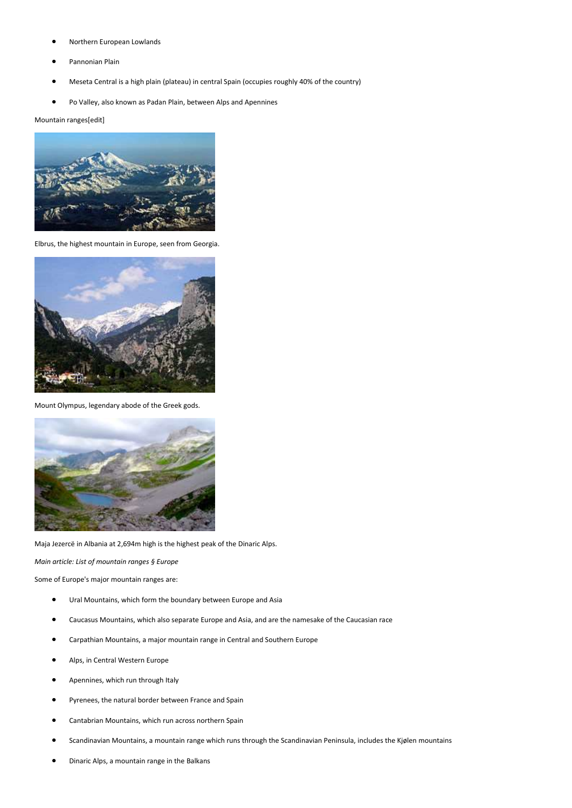- Northern European Lowlands
- Pannonian Plain
- Meseta Central is a high plain (plateau) in central Spain (occupies roughly 40% of the country)
- Po Valley, also known as Padan Plain, between Alps and Apennines

Mountain ranges[edit]



Elbrus, the highest mountain in Europe, seen from Georgia.



Mount Olympus, legendary abode of the Greek gods.



Maja Jezercë in Albania at 2,694m high is the highest peak of the Dinaric Alps.

*Main article: List of mountain ranges § Europe*

Some of Europe's major mountain ranges are:

- Ural Mountains, which form the boundary between Europe and Asia
- Caucasus Mountains, which also separate Europe and Asia, and are the namesake of the Caucasian race
- Carpathian Mountains, a major mountain range in Central and Southern Europe
- Alps, in Central Western Europe
- Apennines, which run through Italy
- Pyrenees, the natural border between France and Spain
- Cantabrian Mountains, which run across northern Spain
- Scandinavian Mountains, a mountain range which runs through the Scandinavian Peninsula, includes the Kjølen mountains
- Dinaric Alps, a mountain range in the Balkans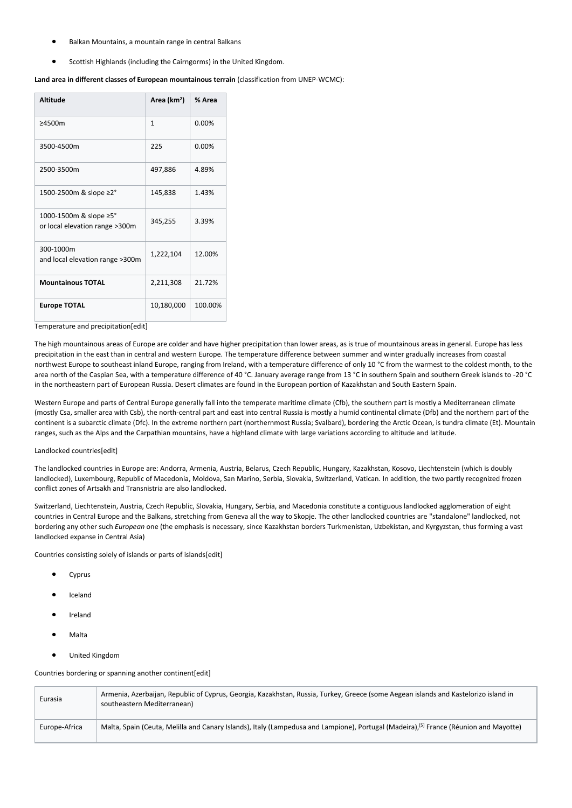- Balkan Mountains, a mountain range in central Balkans
- Scottish Highlands (including the Cairngorms) in the United Kingdom.

## **Land area in different classes of European mountainous terrain** (classification from UNEP-WCMC):

| <b>Altitude</b>                                          | Area (km <sup>2</sup> ) | % Area  |
|----------------------------------------------------------|-------------------------|---------|
| $\geq 4500m$                                             | 1                       | 0.00%   |
| 3500-4500m                                               | 225                     | 0.00%   |
| 2500-3500m                                               | 497,886                 | 4.89%   |
| 1500-2500m & slope ≥2°                                   | 145,838                 | 1.43%   |
| 1000-1500m & slope ≥5°<br>or local elevation range >300m | 345,255                 | 3.39%   |
| 300-1000m<br>and local elevation range >300m             | 1,222,104               | 12.00%  |
| <b>Mountainous TOTAL</b>                                 | 2,211,308               | 21.72%  |
| <b>Europe TOTAL</b>                                      | 10,180,000              | 100.00% |

#### Temperature and precipitation[edit]

The high mountainous areas of Europe are colder and have higher precipitation than lower areas, as is true of mountainous areas in general. Europe has less precipitation in the east than in central and western Europe. The temperature difference between summer and winter gradually increases from coastal northwest Europe to southeast inland Europe, ranging from Ireland, with a temperature difference of only 10 °C from the warmest to the coldest month, to the area north of the Caspian Sea, with a temperature difference of 40 °C. January average range from 13 °C in southern Spain and southern Greek islands to -20 °C in the northeastern part of European Russia. Desert climates are found in the European portion of Kazakhstan and South Eastern Spain.

Western Europe and parts of Central Europe generally fall into the temperate maritime climate (Cfb), the southern part is mostly a Mediterranean climate (mostly Csa, smaller area with Csb), the north-central part and east into central Russia is mostly a humid continental climate (Dfb) and the northern part of the continent is a subarctic climate (Dfc). In the extreme northern part (northernmost Russia; Svalbard), bordering the Arctic Ocean, is tundra climate (Et). Mountain ranges, such as the Alps and the Carpathian mountains, have a highland climate with large variations according to altitude and latitude.

## Landlocked countries[edit]

The landlocked countries in Europe are: Andorra, Armenia, Austria, Belarus, Czech Republic, Hungary, Kazakhstan, Kosovo, Liechtenstein (which is doubly landlocked), Luxembourg, Republic of Macedonia, Moldova, San Marino, Serbia, Slovakia, Switzerland, Vatican. In addition, the two partly recognized frozen conflict zones of Artsakh and Transnistria are also landlocked.

Switzerland, Liechtenstein, Austria, Czech Republic, Slovakia, Hungary, Serbia, and Macedonia constitute a contiguous landlocked agglomeration of eight countries in Central Europe and the Balkans, stretching from Geneva all the way to Skopje. The other landlocked countries are "standalone" landlocked, not bordering any other such *European* one (the emphasis is necessary, since Kazakhstan borders Turkmenistan, Uzbekistan, and Kyrgyzstan, thus forming a vast landlocked expanse in Central Asia)

Countries consisting solely of islands or parts of islands[edit]

- Cyprus
- Iceland
- Ireland
- Malta
- United Kingdom

Countries bordering or spanning another continent[edit]

| Eurasia       | Armenia, Azerbaijan, Republic of Cyprus, Georgia, Kazakhstan, Russia, Turkey, Greece (some Aegean islands and Kastelorizo island in<br>southeastern Mediterranean) |
|---------------|--------------------------------------------------------------------------------------------------------------------------------------------------------------------|
| Europe-Africa | Malta, Spain (Ceuta, Melilla and Canary Islands), Italy (Lampedusa and Lampione), Portugal (Madeira), <sup>[5]</sup> France (Réunion and Mayotte)                  |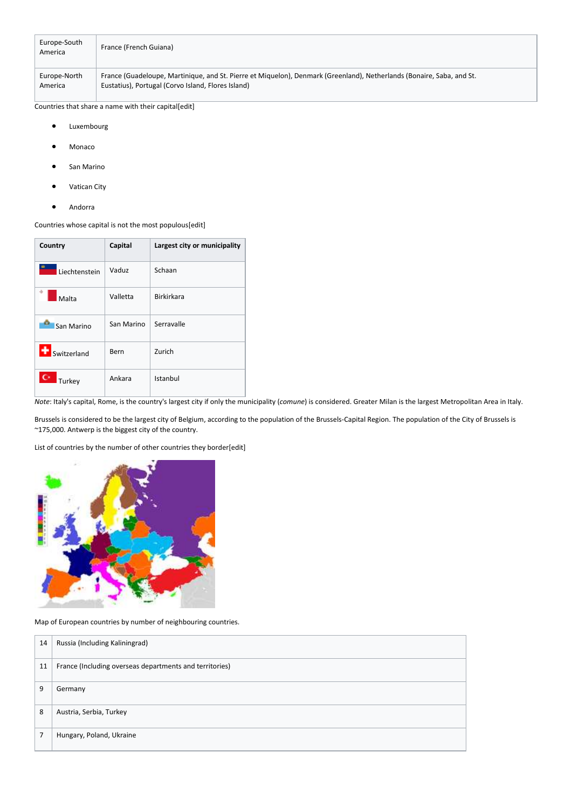| Europe-South<br>America | France (French Guiana)                                                                                                |
|-------------------------|-----------------------------------------------------------------------------------------------------------------------|
| Europe-North            | France (Guadeloupe, Martinique, and St. Pierre et Miquelon), Denmark (Greenland), Netherlands (Bonaire, Saba, and St. |
| America                 | Eustatius), Portugal (Corvo Island, Flores Island)                                                                    |

Countries that share a name with their capital[edit]

- **Luxembourg**
- Monaco
- San Marino
- Vatican City
- Andorra

Countries whose capital is not the most populous[edit]

| Country               | Capital    | Largest city or municipality |
|-----------------------|------------|------------------------------|
| Liechtenstein         | Vaduz      | Schaan                       |
| Malta                 | Valletta   | <b>Birkirkara</b>            |
| San Marino            | San Marino | Serravalle                   |
| Switzerland           | Bern       | Zurich                       |
| $\mathbf C$<br>Turkey | Ankara     | Istanbul                     |

*Note*: Italy's capital, Rome, is the country's largest city if only the municipality (*comune*) is considered. Greater Milan is the largest Metropolitan Area in Italy.

Brussels is considered to be the largest city of Belgium, according to the population of the Brussels-Capital Region. The population of the City of Brussels is ~175,000. Antwerp is the biggest city of the country.

List of countries by the number of other countries they border[edit]



Map of European countries by number of neighbouring countries.

| 14 | Russia (Including Kaliningrad)                          |
|----|---------------------------------------------------------|
| 11 | France (Including overseas departments and territories) |
| 9  | Germany                                                 |
| 8  | Austria, Serbia, Turkey                                 |
| 7  | Hungary, Poland, Ukraine                                |